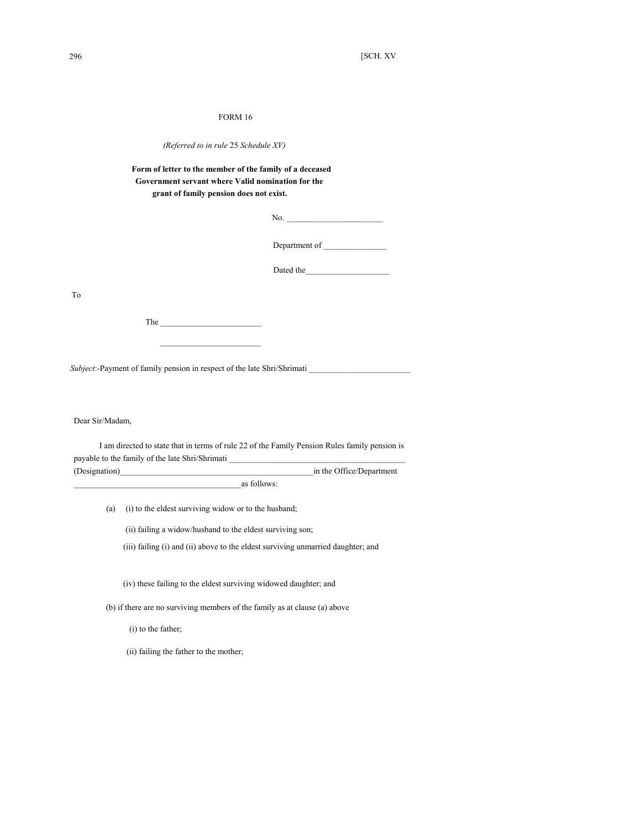## FORM 16

| (Referred to in rule 25 Schedule XV) |  |  |  |  |
|--------------------------------------|--|--|--|--|
|--------------------------------------|--|--|--|--|

## **Form of letter to the member of the family of a deceased Government servant where Valid nomination for the grant of family pension does not exist.**

No.

Department of \_\_\_\_\_\_\_\_\_\_\_\_\_\_\_

Dated the

To

The \_\_\_\_\_\_\_\_\_\_\_\_\_\_\_\_\_\_\_\_\_\_\_\_

*Subject*:-Payment of family pension in respect of the late Shri/Shrimati

 $\mathcal{L}=\frac{1}{2}\sum_{i=1}^{n} \frac{1}{2} \sum_{i=1}^{n} \frac{1}{2} \sum_{i=1}^{n} \frac{1}{2} \sum_{i=1}^{n} \frac{1}{2} \sum_{i=1}^{n} \frac{1}{2} \sum_{i=1}^{n} \frac{1}{2} \sum_{i=1}^{n} \frac{1}{2} \sum_{i=1}^{n} \frac{1}{2} \sum_{i=1}^{n} \frac{1}{2} \sum_{i=1}^{n} \frac{1}{2} \sum_{i=1}^{n} \frac{1}{2} \sum_{i=1}^{n} \frac{1}{2} \sum_{i$ 

Dear Sir/Madam,

I am directed to state that in terms of rule 22 of the Family Pension Rules family pension is payable to the family of the late Shri/Shrimati (Designation)\_\_\_\_\_\_\_\_\_\_\_\_\_\_\_\_\_\_\_\_\_\_\_\_\_\_\_\_\_\_\_\_\_\_\_\_\_\_\_\_\_\_\_\_\_\_in the Office/Department

\_as follows:

(a) (i) to the eldest surviving widow or to the husband;

(ii) failing a widow/husband to the eldest surviving son;

(iii) failing (i) and (ii) above to the eldest surviving unmarried daughter; and

(iv) these failing to the eldest surviving widowed daughter; and

(b) if there are no surviving members of the family as at clause (a) above

(i) to the father;

(ii) failing the father to the mother;